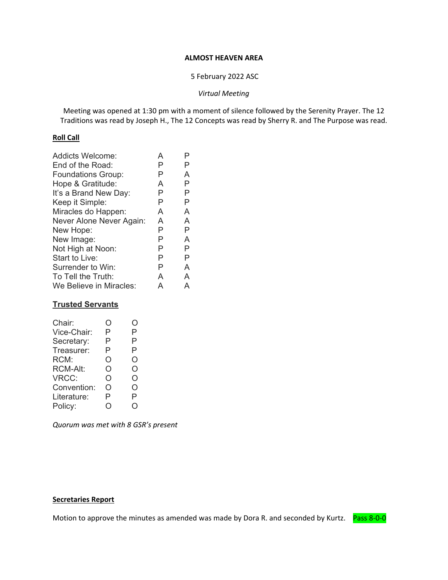#### **ALMOST HEAVEN AREA**

#### 5 February 2022 ASC

#### *Virtual Meeting*

Meeting was opened at 1:30 pm with a moment of silence followed by the Serenity Prayer. The 12 Traditions was read by Joseph H., The 12 Concepts was read by Sherry R. and The Purpose was read.

#### **Roll Call**

| <b>Addicts Welcome:</b>   | A | P |
|---------------------------|---|---|
| End of the Road:          | Р | Р |
| <b>Foundations Group:</b> | Р | A |
| Hope & Gratitude:         | A | Ρ |
| It's a Brand New Day:     | Р | Р |
| Keep it Simple:           | Ρ | Ρ |
| Miracles do Happen:       | A | A |
| Never Alone Never Again:  | A | A |
| New Hope:                 | Ρ | Р |
| New Image:                | Ρ | A |
| Not High at Noon:         | Ρ | P |
| Start to Live:            | Ρ | Р |
| Surrender to Win:         | Ρ | A |
| To Tell the Truth:        | A | A |
| We Believe in Miracles:   | А | A |

### **Trusted Servants**

| Chair:          | 0 | . ) |
|-----------------|---|-----|
| Vice-Chair:     | Ρ | P   |
| Secretary:      | Р | Р   |
| Treasurer:      | P | P   |
| RCM:            | Ο | Ο   |
| <b>RCM-Alt:</b> | O | O   |
| VRCC:           | O | O   |
| Convention:     | Ο | Ω   |
| Literature:     | P | P   |
| Policy:         |   | Γ   |
|                 |   |     |

*Quorum was met with 8 GSR's present* 

### **Secretaries Report**

Motion to approve the minutes as amended was made by Dora R. and seconded by Kurtz. Pass 8-0-0

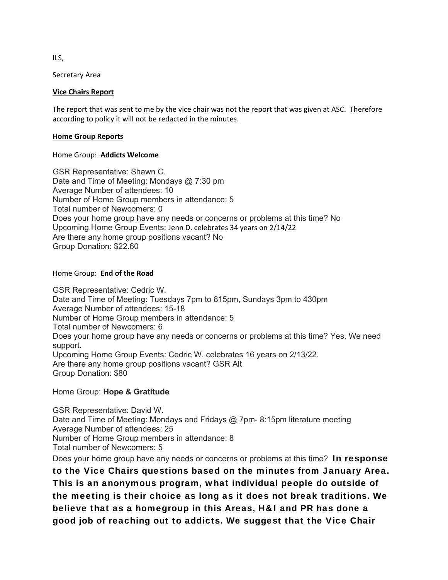ILS,

Secretary Area

#### **Vice Chairs Report**

The report that was sent to me by the vice chair was not the report that was given at ASC. Therefore according to policy it will not be redacted in the minutes.

#### **Home Group Reports**

#### Home Group: **Addicts Welcome**

GSR Representative: Shawn C. Date and Time of Meeting: Mondays @ 7:30 pm Average Number of attendees: 10 Number of Home Group members in attendance: 5 Total number of Newcomers: 0 Does your home group have any needs or concerns or problems at this time? No Upcoming Home Group Events: Jenn D. celebrates 34 years on 2/14/22 Are there any home group positions vacant? No Group Donation: \$22.60

### Home Group: **End of the Road**

GSR Representative: Cedric W. Date and Time of Meeting: Tuesdays 7pm to 815pm, Sundays 3pm to 430pm Average Number of attendees: 15-18 Number of Home Group members in attendance: 5 Total number of Newcomers: 6 Does your home group have any needs or concerns or problems at this time? Yes. We need support. Upcoming Home Group Events: Cedric W. celebrates 16 years on 2/13/22. Are there any home group positions vacant? GSR Alt Group Donation: \$80

### Home Group: **Hope & Gratitude**

GSR Representative: David W. Date and Time of Meeting: Mondays and Fridays @ 7pm- 8:15pm literature meeting Average Number of attendees: 25 Number of Home Group members in attendance: 8 Total number of Newcomers: 5 Does your home group have any needs or concerns or problems at this time? In response

to the Vice Chairs questions based on the minutes from January Area. This is an anonymous program, what individual people do outside of the meeting is their choice as long as it does not break traditions. We believe that as a homegroup in this Areas, H&I and PR has done a good job of reaching out to addicts. We suggest that the Vice Chair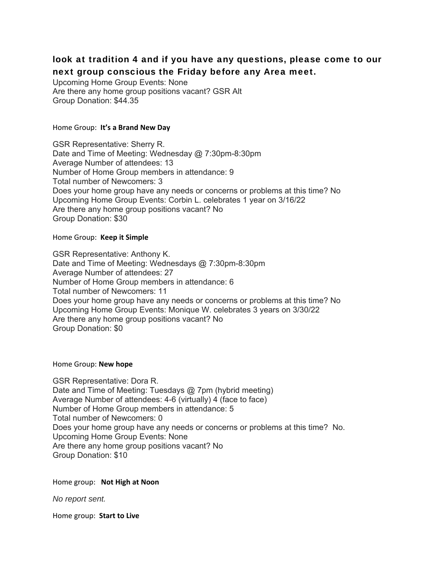# look at tradition 4 and if you have any questions, please come to our next group conscious the Friday before any Area meet.

Upcoming Home Group Events: None Are there any home group positions vacant? GSR Alt Group Donation: \$44.35

#### Home Group: **It's a Brand New Day**

GSR Representative: Sherry R. Date and Time of Meeting: Wednesday @ 7:30pm-8:30pm Average Number of attendees: 13 Number of Home Group members in attendance: 9 Total number of Newcomers: 3 Does your home group have any needs or concerns or problems at this time? No Upcoming Home Group Events: Corbin L. celebrates 1 year on 3/16/22 Are there any home group positions vacant? No Group Donation: \$30

#### Home Group: **Keep it Simple**

GSR Representative: Anthony K. Date and Time of Meeting: Wednesdays @ 7:30pm-8:30pm Average Number of attendees: 27 Number of Home Group members in attendance: 6 Total number of Newcomers: 11 Does your home group have any needs or concerns or problems at this time? No Upcoming Home Group Events: Monique W. celebrates 3 years on 3/30/22 Are there any home group positions vacant? No Group Donation: \$0

Home Group: **New hope** 

GSR Representative: Dora R. Date and Time of Meeting: Tuesdays @ 7pm (hybrid meeting) Average Number of attendees: 4-6 (virtually) 4 (face to face) Number of Home Group members in attendance: 5 Total number of Newcomers: 0 Does your home group have any needs or concerns or problems at this time? No. Upcoming Home Group Events: None Are there any home group positions vacant? No Group Donation: \$10

Home group: **Not High at Noon**

*No report sent.*

Home group: **Start to Live**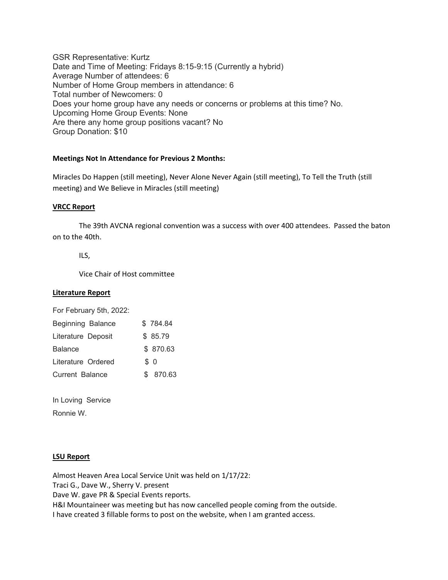GSR Representative: Kurtz Date and Time of Meeting: Fridays 8:15-9:15 (Currently a hybrid) Average Number of attendees: 6 Number of Home Group members in attendance: 6 Total number of Newcomers: 0 Does your home group have any needs or concerns or problems at this time? No. Upcoming Home Group Events: None Are there any home group positions vacant? No Group Donation: \$10

#### **Meetings Not In Attendance for Previous 2 Months:**

Miracles Do Happen (still meeting), Never Alone Never Again (still meeting), To Tell the Truth (still meeting) and We Believe in Miracles (still meeting)

#### **VRCC Report**

The 39th AVCNA regional convention was a success with over 400 attendees. Passed the baton on to the 40th.

ILS,

Vice Chair of Host committee

#### **Literature Report**

For February 5th, 2022:

| Beginning Balance      | \$784.84  |
|------------------------|-----------|
| Literature Deposit     | \$85.79   |
| <b>Balance</b>         | \$ 870.63 |
| Literature Ordered     | \$ 0      |
| <b>Current Balance</b> | \$ 870.63 |

In Loving Service Ronnie W.

#### **LSU Report**

Almost Heaven Area Local Service Unit was held on 1/17/22: Traci G., Dave W., Sherry V. present Dave W. gave PR & Special Events reports. H&I Mountaineer was meeting but has now cancelled people coming from the outside. I have created 3 fillable forms to post on the website, when I am granted access.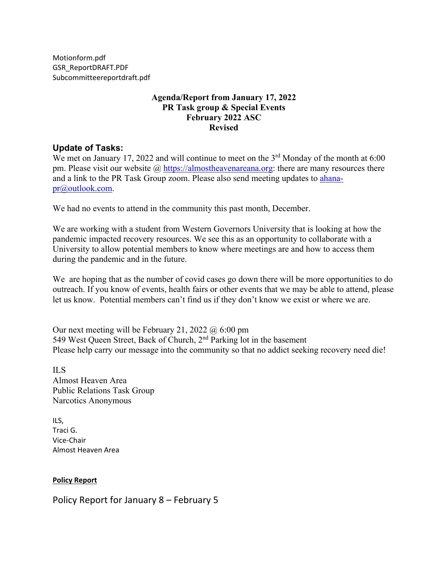Motionform.pdf GSR\_ReportDRAFT.PDF Subcommitteereportdraft.pdf 

# **Agenda/Report from January 17, 2022 PR Task group & Special Events February 2022 ASC Revised**

# **Update of Tasks:**

We met on January 17, 2022 and will continue to meet on the 3<sup>rd</sup> Monday of the month at 6:00 pm. Please visit our website  $\omega$  https://almostheavenareana.org: there are many resources there and a link to the PR Task Group zoom. Please also send meeting updates to ahanapr@outlook.com.

We had no events to attend in the community this past month, December.

We are working with a student from Western Governors University that is looking at how the pandemic impacted recovery resources. We see this as an opportunity to collaborate with a University to allow potential members to know where meetings are and how to access them during the pandemic and in the future.

We are hoping that as the number of covid cases go down there will be more opportunities to do outreach. If you know of events, health fairs or other events that we may be able to attend, please let us know. Potential members can't find us if they don't know we exist or where we are.

Our next meeting will be February 21, 2022  $\omega$  6:00 pm 549 West Queen Street, Back of Church, 2nd Parking lot in the basement Please help carry our message into the community so that no addict seeking recovery need die!

ILS Almost Heaven Area Public Relations Task Group Narcotics Anonymous

ILS, Traci G. Vice‐Chair Almost Heaven Area

#### **Policy Report**

Policy Report for January 8 – February 5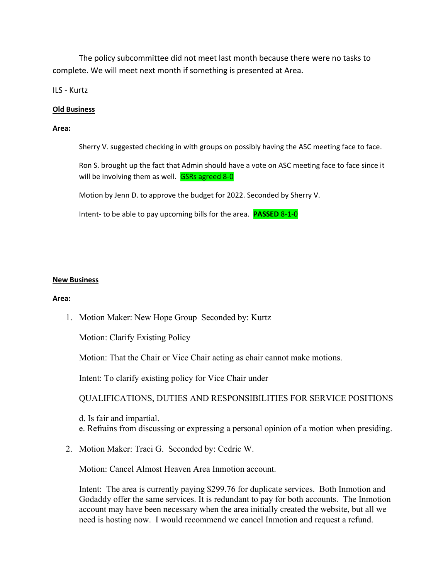The policy subcommittee did not meet last month because there were no tasks to complete. We will meet next month if something is presented at Area.

ILS ‐ Kurtz

#### **Old Business**

#### **Area:**

Sherry V. suggested checking in with groups on possibly having the ASC meeting face to face.

Ron S. brought up the fact that Admin should have a vote on ASC meeting face to face since it will be involving them as well. **GSRs agreed 8-0** 

Motion by Jenn D. to approve the budget for 2022. Seconded by Sherry V.

Intent‐ to be able to pay upcoming bills for the area. **PASSED** 8‐1‐0

#### **New Business**

#### **Area:**

1. Motion Maker: New Hope Group Seconded by: Kurtz

Motion: Clarify Existing Policy

Motion: That the Chair or Vice Chair acting as chair cannot make motions.

Intent: To clarify existing policy for Vice Chair under

QUALIFICATIONS, DUTIES AND RESPONSIBILITIES FOR SERVICE POSITIONS

d. Is fair and impartial. e. Refrains from discussing or expressing a personal opinion of a motion when presiding.

2. Motion Maker: Traci G. Seconded by: Cedric W.

Motion: Cancel Almost Heaven Area Inmotion account.

Intent: The area is currently paying \$299.76 for duplicate services. Both Inmotion and Godaddy offer the same services. It is redundant to pay for both accounts. The Inmotion account may have been necessary when the area initially created the website, but all we need is hosting now. I would recommend we cancel Inmotion and request a refund.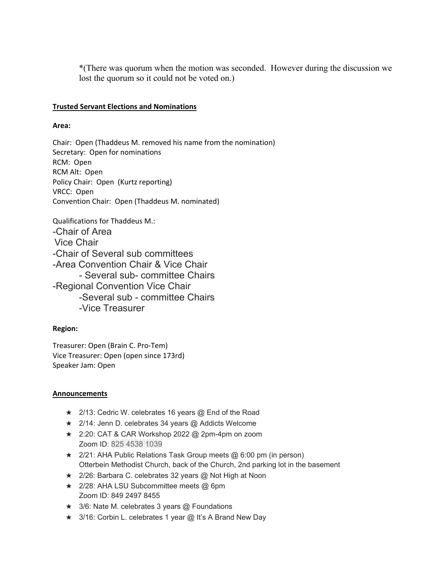\*(There was quorum when the motion was seconded. However during the discussion we lost the quorum so it could not be voted on.)

### **Trusted Servant Elections and Nominations**

#### **Area:**

Chair: Open (Thaddeus M. removed his name from the nomination) Secretary: Open for nominations RCM: Open RCM Alt: Open Policy Chair: Open (Kurtz reporting) VRCC: Open Convention Chair: Open (Thaddeus M. nominated)

Qualifications for Thaddeus M.: -Chair of Area Vice Chair -Chair of Several sub committees -Area Convention Chair & Vice Chair - Several sub- committee Chairs -Regional Convention Vice Chair -Several sub - committee Chairs -Vice Treasurer

#### **Region:**

Treasurer: Open (Brain C. Pro‐Tem) Vice Treasurer: Open (open since 173rd) Speaker Jam: Open

#### **Announcements**

- ★ 2/13: Cedric W. celebrates 16 years @ End of the Road
- ★ 2/14: Jenn D. celebrates 34 years @ Addicts Welcome
- ★ 2:20: CAT & CAR Workshop 2022 @ 2pm-4pm on zoom Zoom ID: 825 4538 1039
- ★ 2/21: AHA Public Relations Task Group meets @ 6:00 pm (in person) Otterbein Methodist Church, back of the Church, 2nd parking lot in the basement
- ★ 2/26: Barbara C. celebrates 32 years @ Not High at Noon
- ★ 2/28: AHA LSU Subcommittee meets @ 6pm Zoom ID: 849 2497 8455
- ★ 3/6: Nate M. celebrates 3 years @ Foundations
- ★ 3/16: Corbin L. celebrates 1 year @ It's A Brand New Day